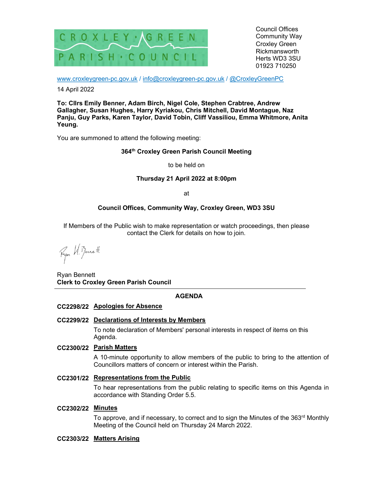

Council Offices Community Way Croxley Green Rickmansworth Herts WD3 3SU 01923 710250

www.croxleygreen-pc.gov.uk / info@croxleygreen-pc.gov.uk / @CroxleyGreenPC

14 April 2022

To: Cllrs Emily Benner, Adam Birch, Nigel Cole, Stephen Crabtree, Andrew Gallagher, Susan Hughes, Harry Kyriakou, Chris Mitchell, David Montague, Naz Panju, Guy Parks, Karen Taylor, David Tobin, Cliff Vassiliou, Emma Whitmore, Anita Yeung.

You are summoned to attend the following meeting:

# 364<sup>th</sup> Croxley Green Parish Council Meeting

to be held on

#### Thursday 21 April 2022 at 8:00pm

at

# Council Offices, Community Way, Croxley Green, WD3 3SU

If Members of the Public wish to make representation or watch proceedings, then please contact the Clerk for details on how to join.

Fyor H. Benett

Ryan Bennett Clerk to Croxley Green Parish Council

# AGENDA

#### CC2298/22 Apologies for Absence

# CC2299/22 Declarations of Interests by Members

To note declaration of Members' personal interests in respect of items on this Agenda.

#### CC2300/22 Parish Matters

A 10-minute opportunity to allow members of the public to bring to the attention of Councillors matters of concern or interest within the Parish.

## CC2301/22 Representations from the Public

To hear representations from the public relating to specific items on this Agenda in accordance with Standing Order 5.5.

#### CC2302/22 Minutes

To approve, and if necessary, to correct and to sign the Minutes of the  $363<sup>rd</sup>$  Monthly Meeting of the Council held on Thursday 24 March 2022.

## CC2303/22 Matters Arising